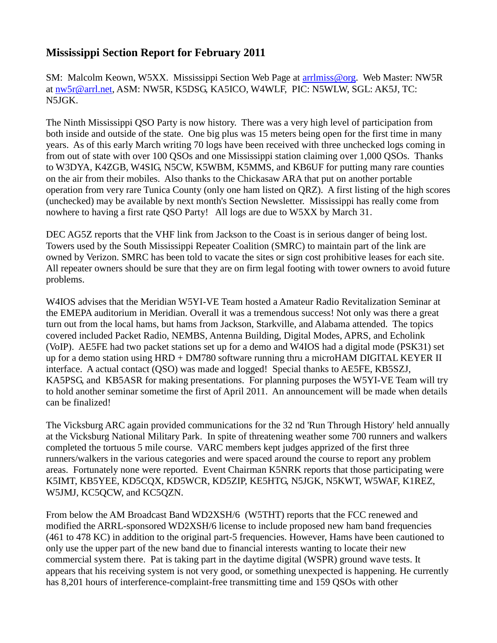## **Mississippi Section Report for February 2011**

SM: Malcolm Keown, W5XX. Mississippi Section Web Page at [arrlmiss@org.](mailto:arrlmiss@org) Web Master: NW5R at [nw5r@arrl.net,](mailto:nw5r@arrl.net) ASM: NW5R, K5DSG, KA5ICO, W4WLF, PIC: N5WLW, SGL: AK5J, TC: N5JGK.

The Ninth Mississippi QSO Party is now history. There was a very high level of participation from both inside and outside of the state. One big plus was 15 meters being open for the first time in many years. As of this early March writing 70 logs have been received with three unchecked logs coming in from out of state with over 100 QSOs and one Mississippi station claiming over 1,000 QSOs. Thanks to W3DYA, K4ZGB, W4SIG, N5CW, K5WBM, K5MMS, and KB6UF for putting many rare counties on the air from their mobiles. Also thanks to the Chickasaw ARA that put on another portable operation from very rare Tunica County (only one ham listed on QRZ). A first listing of the high scores (unchecked) may be available by next month's Section Newsletter. Mississippi has really come from nowhere to having a first rate QSO Party! All logs are due to W5XX by March 31.

DEC AG5Z reports that the VHF link from Jackson to the Coast is in serious danger of being lost. Towers used by the South Mississippi Repeater Coalition (SMRC) to maintain part of the link are owned by Verizon. SMRC has been told to vacate the sites or sign cost prohibitive leases for each site. All repeater owners should be sure that they are on firm legal footing with tower owners to avoid future problems.

W4IOS advises that the Meridian W5YI-VE Team hosted a Amateur Radio Revitalization Seminar at the EMEPA auditorium in Meridian. Overall it was a tremendous success! Not only was there a great turn out from the local hams, but hams from Jackson, Starkville, and Alabama attended. The topics covered included Packet Radio, NEMBS, Antenna Building, Digital Modes, APRS, and Echolink (VoIP). AE5FE had two packet stations set up for a demo and W4IOS had a digital mode (PSK31) set up for a demo station using HRD + DM780 software running thru a microHAM DIGITAL KEYER II interface. A actual contact (QSO) was made and logged! Special thanks to AE5FE, KB5SZJ, KA5PSG, and KB5ASR for making presentations. For planning purposes the W5YI-VE Team will try to hold another seminar sometime the first of April 2011. An announcement will be made when details can be finalized!

The Vicksburg ARC again provided communications for the 32 nd 'Run Through History' held annually at the Vicksburg National Military Park. In spite of threatening weather some 700 runners and walkers completed the tortuous 5 mile course. VARC members kept judges apprized of the first three runners/walkers in the various categories and were spaced around the course to report any problem areas. Fortunately none were reported. Event Chairman K5NRK reports that those participating were K5IMT, KB5YEE, KD5CQX, KD5WCR, KD5ZIP, KE5HTG, N5JGK, N5KWT, W5WAF, K1REZ, W5JMJ, KC5QCW, and KC5QZN.

From below the AM Broadcast Band WD2XSH/6 (W5THT) reports that the FCC renewed and modified the ARRL-sponsored WD2XSH/6 license to include proposed new ham band frequencies (461 to 478 KC) in addition to the original part-5 frequencies. However, Hams have been cautioned to only use the upper part of the new band due to financial interests wanting to locate their new commercial system there. Pat is taking part in the daytime digital (WSPR) ground wave tests. It appears that his receiving system is not very good, or something unexpected is happening. He currently has 8,201 hours of interference-complaint-free transmitting time and 159 QSOs with other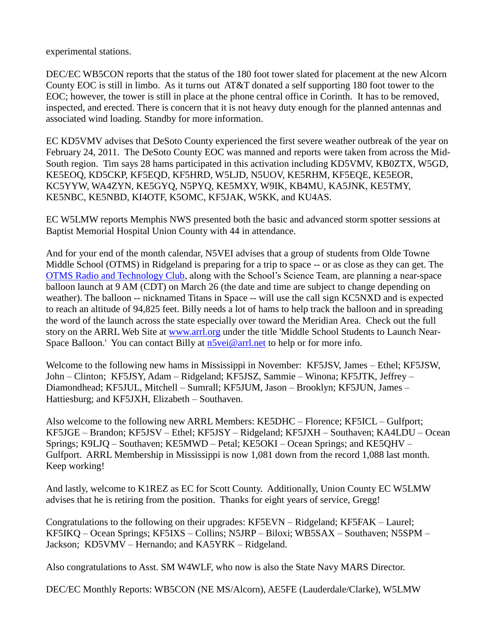experimental stations.

DEC/EC WB5CON reports that the status of the 180 foot tower slated for placement at the new Alcorn County EOC is still in limbo. As it turns out AT&T donated a self supporting 180 foot tower to the EOC; however, the tower is still in place at the phone central office in Corinth. It has to be removed, inspected, and erected. There is concern that it is not heavy duty enough for the planned antennas and associated wind loading. Standby for more information.

EC KD5VMV advises that DeSoto County experienced the first severe weather outbreak of the year on February 24, 2011. The DeSoto County EOC was manned and reports were taken from across the Mid-South region. Tim says 28 hams participated in this activation including KD5VMV, KB0ZTX, W5GD, KE5EOQ, KD5CKP, KF5EQD, KF5HRD, W5LJD, N5UOV, KE5RHM, KF5EQE, KE5EOR, KC5YYW, WA4ZYN, KE5GYQ, N5PYQ, KE5MXY, W9IK, KB4MU, KA5JNK, KE5TMY, KE5NBC, KE5NBD, KI4OTF, K5OMC, KF5JAK, W5KK, and KU4AS.

EC W5LMW reports Memphis NWS presented both the basic and advanced storm spotter sessions at Baptist Memorial Hospital Union County with 44 in attendance.

And for your end of the month calendar, N5VEI advises that a group of students from Olde Towne Middle School (OTMS) in Ridgeland is preparing for a trip to space -- or as close as they can get. The [OTMS Radio and Technology Club,](http://www.madison-schools.com/18912081810027520/site/default.asp) along with the School's Science Team, are planning a near-space balloon launch at 9 AM (CDT) on March 26 (the date and time are subject to change depending on weather). The balloon -- nicknamed Titans in Space -- will use the call sign KC5NXD and is expected to reach an altitude of 94,825 feet. Billy needs a lot of hams to help track the balloon and in spreading the word of the launch across the state especially over toward the Meridian Area. Check out the full story on the ARRL Web Site at [www.arrl.org](http://www.arrl.org/) under the title 'Middle School Students to Launch NearSpace Balloon.' You can contact Billy at [n5vei@arrl.net](mailto:n5vei@arrl.net) to help or for more info.

Welcome to the following new hams in Mississippi in November: KF5JSV, James – Ethel; KF5JSW, John – Clinton; KF5JSY, Adam – Ridgeland; KF5JSZ, Sammie – Winona; KF5JTK, Jeffrey – Diamondhead; KF5JUL, Mitchell – Sumrall; KF5JUM, Jason – Brooklyn; KF5JUN, James – Hattiesburg; and KF5JXH, Elizabeth – Southaven.

Also welcome to the following new ARRL Members: KE5DHC – Florence; KF5ICL – Gulfport; KF5JGE – Brandon; KF5JSV – Ethel; KF5JSY – Ridgeland; KF5JXH – Southaven; KA4LDU – Ocean Springs; K9LJQ – Southaven; KE5MWD – Petal; KE5OKI – Ocean Springs; and KE5QHV – Gulfport. ARRL Membership in Mississippi is now 1,081 down from the record 1,088 last month. Keep working!

And lastly, welcome to K1REZ as EC for Scott County. Additionally, Union County EC W5LMW advises that he is retiring from the position. Thanks for eight years of service, Gregg!

Congratulations to the following on their upgrades: KF5EVN – Ridgeland; KF5FAK – Laurel; KF5IKQ – Ocean Springs; KF5IXS – Collins; N5JRP – Biloxi; WB5SAX – Southaven; N5SPM – Jackson; KD5VMV – Hernando; and KA5YRK – Ridgeland.

Also congratulations to Asst. SM W4WLF, who now is also the State Navy MARS Director.

DEC/EC Monthly Reports: WB5CON (NE MS/Alcorn), AE5FE (Lauderdale/Clarke), W5LMW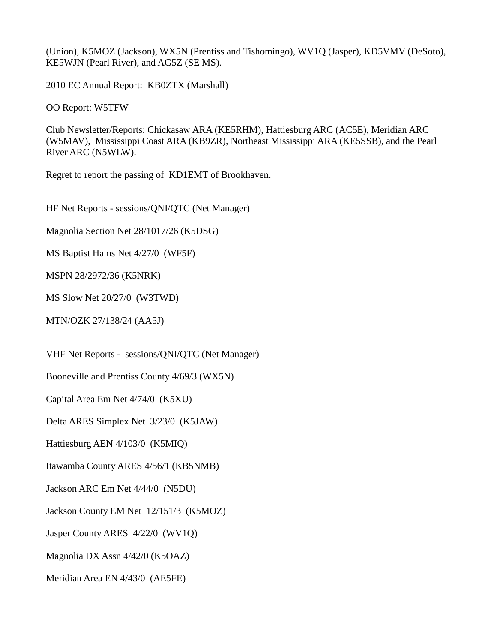(Union), K5MOZ (Jackson), WX5N (Prentiss and Tishomingo), WV1Q (Jasper), KD5VMV (DeSoto), KE5WJN (Pearl River), and AG5Z (SE MS).

2010 EC Annual Report: KB0ZTX (Marshall)

OO Report: W5TFW

Club Newsletter/Reports: Chickasaw ARA (KE5RHM), Hattiesburg ARC (AC5E), Meridian ARC (W5MAV), Mississippi Coast ARA (KB9ZR), Northeast Mississippi ARA (KE5SSB), and the Pearl River ARC (N5WLW).

Regret to report the passing of KD1EMT of Brookhaven.

HF Net Reports - sessions/QNI/QTC (Net Manager)

Magnolia Section Net 28/1017/26 (K5DSG)

MS Baptist Hams Net 4/27/0 (WF5F)

MSPN 28/2972/36 (K5NRK)

MS Slow Net 20/27/0 (W3TWD)

MTN/OZK 27/138/24 (AA5J)

VHF Net Reports - sessions/QNI/QTC (Net Manager)

Booneville and Prentiss County 4/69/3 (WX5N)

Capital Area Em Net 4/74/0 (K5XU)

Delta ARES Simplex Net 3/23/0 (K5JAW)

Hattiesburg AEN 4/103/0 (K5MIQ)

Itawamba County ARES 4/56/1 (KB5NMB)

Jackson ARC Em Net 4/44/0 (N5DU)

Jackson County EM Net 12/151/3 (K5MOZ)

Jasper County ARES 4/22/0 (WV1Q)

Magnolia DX Assn 4/42/0 (K5OAZ)

Meridian Area EN 4/43/0 (AE5FE)